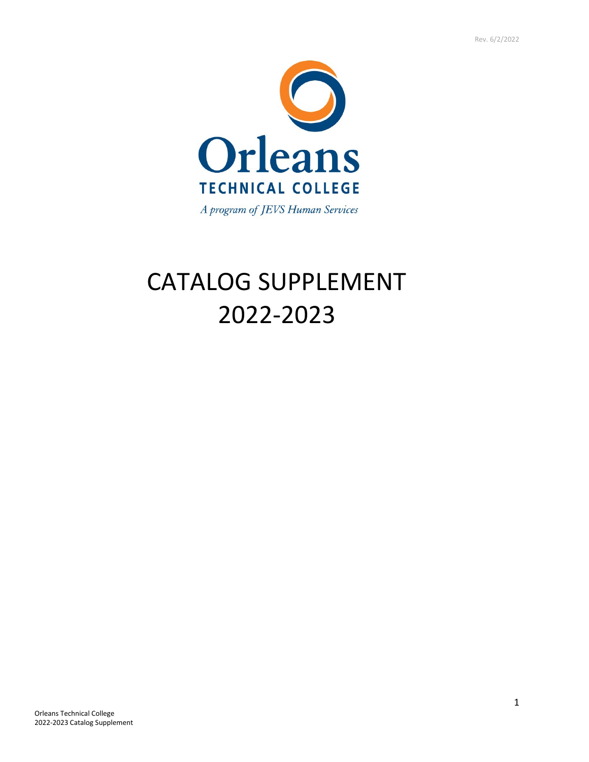

# CATALOG SUPPLEMENT 2022-2023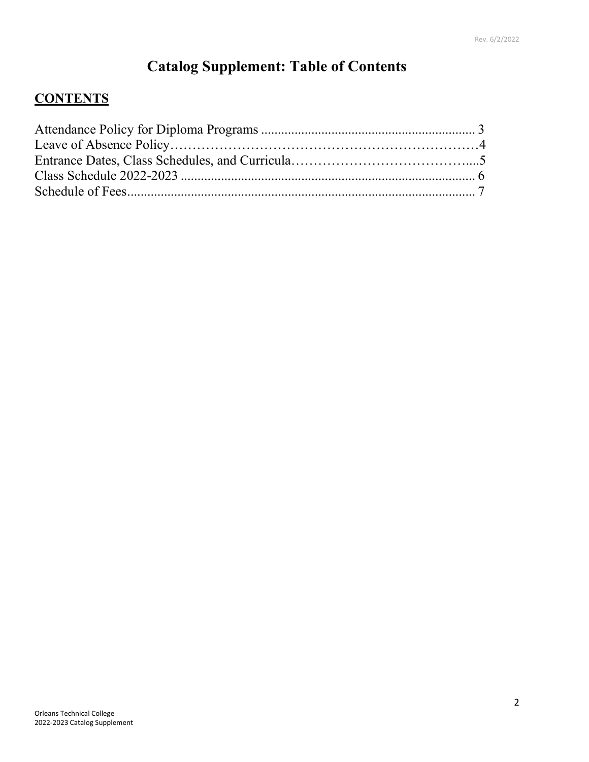# **Catalog Supplement: Table of Contents**

### **CONTENTS**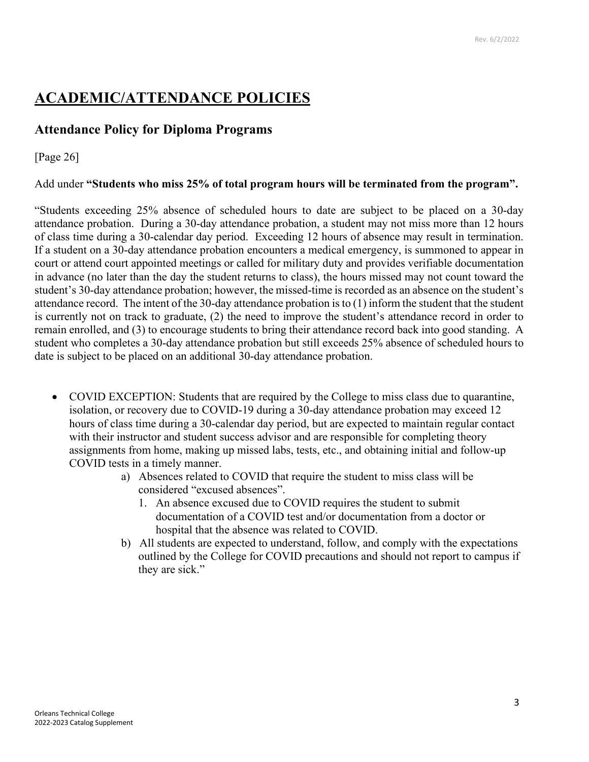## **ACADEMIC/ATTENDANCE POLICIES**

#### **Attendance Policy for Diploma Programs**

#### [Page 26]

#### Add under **"Students who miss 25% of total program hours will be terminated from the program".**

"Students exceeding 25% absence of scheduled hours to date are subject to be placed on a 30-day attendance probation. During a 30-day attendance probation, a student may not miss more than 12 hours of class time during a 30-calendar day period. Exceeding 12 hours of absence may result in termination. If a student on a 30-day attendance probation encounters a medical emergency, is summoned to appear in court or attend court appointed meetings or called for military duty and provides verifiable documentation in advance (no later than the day the student returns to class), the hours missed may not count toward the student's 30-day attendance probation; however, the missed-time is recorded as an absence on the student's attendance record. The intent of the 30-day attendance probation is to (1) inform the student that the student is currently not on track to graduate, (2) the need to improve the student's attendance record in order to remain enrolled, and (3) to encourage students to bring their attendance record back into good standing. A student who completes a 30-day attendance probation but still exceeds 25% absence of scheduled hours to date is subject to be placed on an additional 30-day attendance probation.

- COVID EXCEPTION: Students that are required by the College to miss class due to quarantine, isolation, or recovery due to COVID-19 during a 30-day attendance probation may exceed 12 hours of class time during a 30-calendar day period, but are expected to maintain regular contact with their instructor and student success advisor and are responsible for completing theory assignments from home, making up missed labs, tests, etc., and obtaining initial and follow-up COVID tests in a timely manner.
	- a) Absences related to COVID that require the student to miss class will be considered "excused absences".
		- 1. An absence excused due to COVID requires the student to submit documentation of a COVID test and/or documentation from a doctor or hospital that the absence was related to COVID.
	- b) All students are expected to understand, follow, and comply with the expectations outlined by the College for COVID precautions and should not report to campus if they are sick."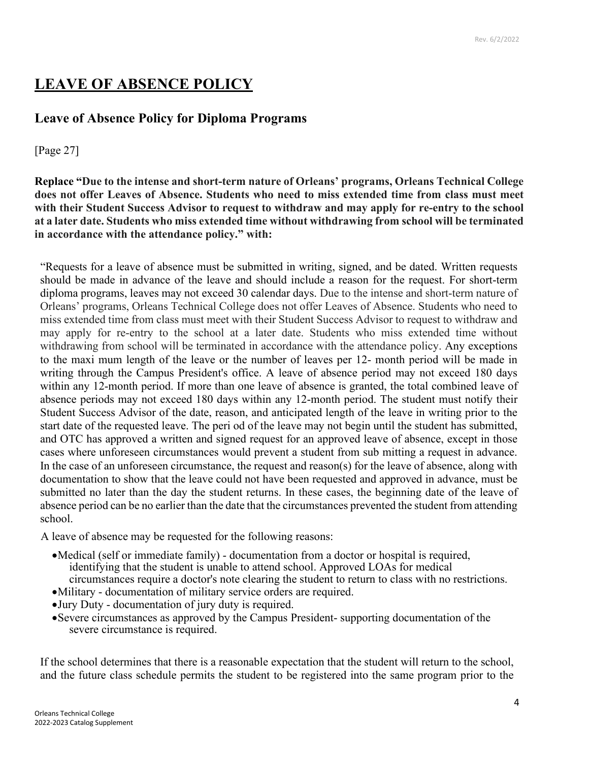## **LEAVE OF ABSENCE POLICY**

#### **Leave of Absence Policy for Diploma Programs**

#### [Page 27]

**Replace "Due to the intense and short-term nature of Orleans' programs, Orleans Technical College does not offer Leaves of Absence. Students who need to miss extended time from class must meet with their Student Success Advisor to request to withdraw and may apply for re-entry to the school at a later date. Students who miss extended time without withdrawing from school will be terminated in accordance with the attendance policy." with:**

"Requests for a leave of absence must be submitted in writing, signed, and be dated. Written requests should be made in advance of the leave and should include a reason for the request. For short-term diploma programs, leaves may not exceed 30 calendar days. Due to the intense and short-term nature of Orleans' programs, Orleans Technical College does not offer Leaves of Absence. Students who need to miss extended time from class must meet with their Student Success Advisor to request to withdraw and may apply for re-entry to the school at a later date. Students who miss extended time without withdrawing from school will be terminated in accordance with the attendance policy. Any exceptions to the maxi mum length of the leave or the number of leaves per 12- month period will be made in writing through the Campus President's office. A leave of absence period may not exceed 180 days within any 12-month period. If more than one leave of absence is granted, the total combined leave of absence periods may not exceed 180 days within any 12-month period. The student must notify their Student Success Advisor of the date, reason, and anticipated length of the leave in writing prior to the start date of the requested leave. The peri od of the leave may not begin until the student has submitted, and OTC has approved a written and signed request for an approved leave of absence, except in those cases where unforeseen circumstances would prevent a student from sub mitting a request in advance. In the case of an unforeseen circumstance, the request and reason(s) for the leave of absence, along with documentation to show that the leave could not have been requested and approved in advance, must be submitted no later than the day the student returns. In these cases, the beginning date of the leave of absence period can be no earlier than the date that the circumstances prevented the student from attending school.

A leave of absence may be requested for the following reasons:

- •Medical (self or immediate family) documentation from a doctor or hospital is required, identifying that the student is unable to attend school. Approved LOAs for medical circumstances require a doctor's note clearing the student to return to class with no restrictions.
- •Military documentation of military service orders are required.
- •Jury Duty documentation of jury duty is required.
- •Severe circumstances as approved by the Campus President- supporting documentation of the severe circumstance is required.

If the school determines that there is a reasonable expectation that the student will return to the school, and the future class schedule permits the student to be registered into the same program prior to the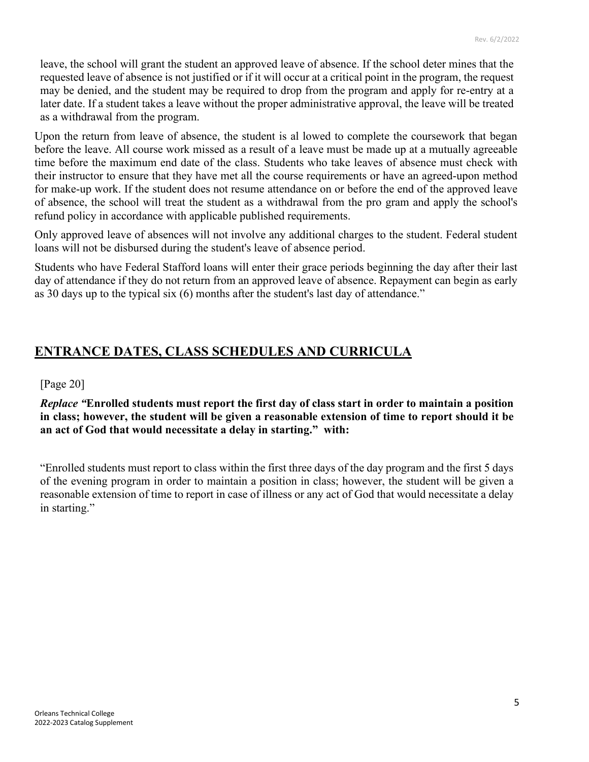leave, the school will grant the student an approved leave of absence. If the school deter mines that the requested leave of absence is not justified or if it will occur at a critical point in the program, the request may be denied, and the student may be required to drop from the program and apply for re-entry at a later date. If a student takes a leave without the proper administrative approval, the leave will be treated as a withdrawal from the program.

Upon the return from leave of absence, the student is al lowed to complete the coursework that began before the leave. All course work missed as a result of a leave must be made up at a mutually agreeable time before the maximum end date of the class. Students who take leaves of absence must check with their instructor to ensure that they have met all the course requirements or have an agreed-upon method for make-up work. If the student does not resume attendance on or before the end of the approved leave of absence, the school will treat the student as a withdrawal from the pro gram and apply the school's refund policy in accordance with applicable published requirements.

Only approved leave of absences will not involve any additional charges to the student. Federal student loans will not be disbursed during the student's leave of absence period.

Students who have Federal Stafford loans will enter their grace periods beginning the day after their last day of attendance if they do not return from an approved leave of absence. Repayment can begin as early as 30 days up to the typical six (6) months after the student's last day of attendance."

### **ENTRANCE DATES, CLASS SCHEDULES AND CURRICULA**

[Page 20]

#### *Replace "***Enrolled students must report the first day of class start in order to maintain a position in class; however, the student will be given a reasonable extension of time to report should it be an act of God that would necessitate a delay in starting." with:**

"Enrolled students must report to class within the first three days of the day program and the first 5 days of the evening program in order to maintain a position in class; however, the student will be given a reasonable extension of time to report in case of illness or any act of God that would necessitate a delay in starting."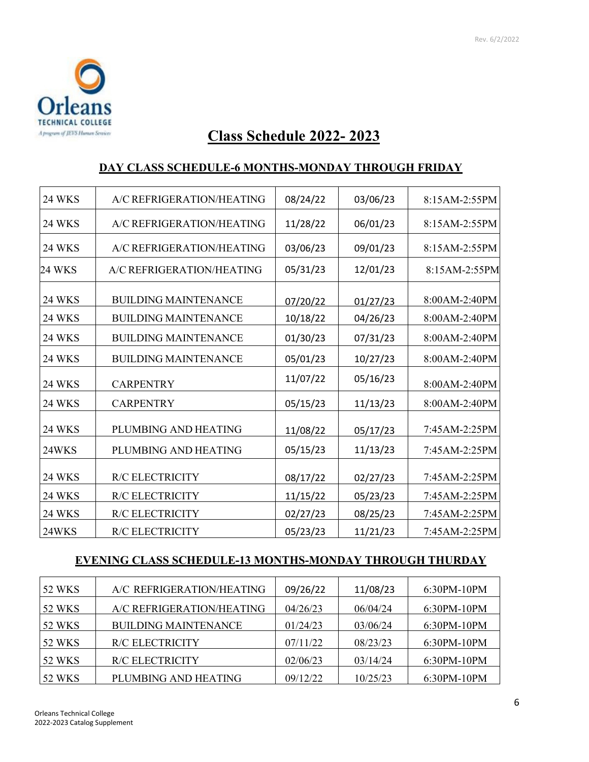

# **Class Schedule 2022- 2023**

#### **DAY CLASS SCHEDULE-6 MONTHS-MONDAY THROUGH FRIDAY**

| <b>24 WKS</b> | A/C REFRIGERATION/HEATING   | 08/24/22 | 03/06/23 | 8:15AM-2:55PM |  |  |
|---------------|-----------------------------|----------|----------|---------------|--|--|
| <b>24 WKS</b> | A/C REFRIGERATION/HEATING   | 11/28/22 | 06/01/23 | 8:15AM-2:55PM |  |  |
| <b>24 WKS</b> | A/C REFRIGERATION/HEATING   | 03/06/23 | 09/01/23 | 8:15AM-2:55PM |  |  |
| 24 WKS        | A/C REFRIGERATION/HEATING   | 05/31/23 | 12/01/23 | 8:15AM-2:55PM |  |  |
| <b>24 WKS</b> | <b>BUILDING MAINTENANCE</b> | 07/20/22 | 01/27/23 | 8:00AM-2:40PM |  |  |
| <b>24 WKS</b> | <b>BUILDING MAINTENANCE</b> | 10/18/22 | 04/26/23 | 8:00AM-2:40PM |  |  |
| <b>24 WKS</b> | <b>BUILDING MAINTENANCE</b> | 01/30/23 | 07/31/23 | 8:00AM-2:40PM |  |  |
| <b>24 WKS</b> | <b>BUILDING MAINTENANCE</b> | 05/01/23 | 10/27/23 | 8:00AM-2:40PM |  |  |
| <b>24 WKS</b> | <b>CARPENTRY</b>            | 11/07/22 | 05/16/23 | 8:00AM-2:40PM |  |  |
| <b>24 WKS</b> | <b>CARPENTRY</b>            | 05/15/23 | 11/13/23 | 8:00AM-2:40PM |  |  |
| <b>24 WKS</b> | PLUMBING AND HEATING        | 11/08/22 | 05/17/23 | 7:45AM-2:25PM |  |  |
| 24WKS         | PLUMBING AND HEATING        | 05/15/23 | 11/13/23 | 7:45AM-2:25PM |  |  |
| <b>24 WKS</b> | <b>R/C ELECTRICITY</b>      | 08/17/22 | 02/27/23 | 7:45AM-2:25PM |  |  |
| <b>24 WKS</b> | <b>R/C ELECTRICITY</b>      | 11/15/22 | 05/23/23 | 7:45AM-2:25PM |  |  |
| 24 WKS        | <b>R/C ELECTRICITY</b>      | 02/27/23 | 08/25/23 | 7:45AM-2:25PM |  |  |
| 24WKS         | <b>R/C ELECTRICITY</b>      | 05/23/23 | 11/21/23 | 7:45AM-2:25PM |  |  |

#### **EVENING CLASS SCHEDULE-13 MONTHS-MONDAY THROUGH THURDAY**

| <b>52 WKS</b> | A/C REFRIGERATION/HEATING   | 09/26/22 | 11/08/23 | 6:30PM-10PM   |
|---------------|-----------------------------|----------|----------|---------------|
| <b>52 WKS</b> | A/C REFRIGERATION/HEATING   | 04/26/23 | 06/04/24 | $6:30PM-10PM$ |
| <b>52 WKS</b> | <b>BUILDING MAINTENANCE</b> | 01/24/23 | 03/06/24 | $6:30PM-10PM$ |
| <b>52 WKS</b> | <b>R/C ELECTRICITY</b>      | 07/11/22 | 08/23/23 | 6:30PM-10PM   |
| <b>52 WKS</b> | <b>R/C ELECTRICITY</b>      | 02/06/23 | 03/14/24 | 6:30PM-10PM   |
| <b>52 WKS</b> | PLUMBING AND HEATING        | 09/12/22 | 10/25/23 | $6:30PM-10PM$ |